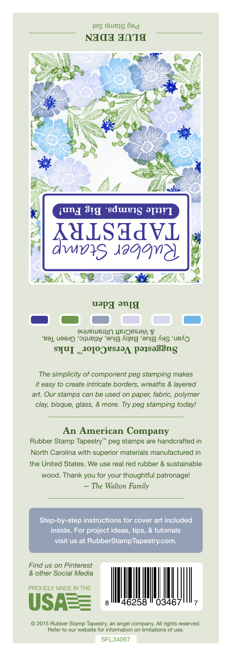## Peg Stamp Set **BLUE EDEN**



Cyan, Sky Blue, Baby Blue, Atlantic, Green Tea, & VersaCraft Ultramarine **Suggested VersaColorTM Inks**

*The simplicity of component peg stamping makes it easy to create intricate borders, wreaths & layered art. Our stamps can be used on paper, fabric, polymer clay, bisque, glass, & more. Try peg stamping today!*

## **An American Company**

*— The Walton Family* Rubber Stamp Tapestry™ peg stamps are handcrafted in North Carolina with superior materials manufactured in the United States. We use real red rubber & sustainable wood. Thank you for your thoughtful patronage!

inside. For project ideas, tips, & tutorials visit us at RubberStampTapestry.com.

*Find us on Pinterest & other Social Media*





© 2015 Rubber Stamp Tapestry, an angel company. All rights reserved. Refer to our website for information on limitations of use.